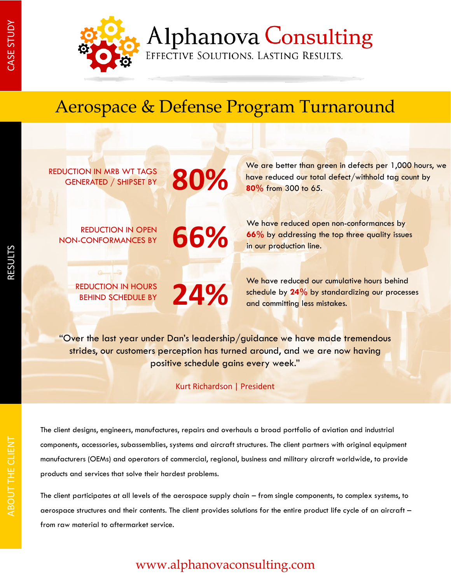

**Alphanova Consulting** 

EFFECTIVE SOLUTIONS. LASTING RESULTS.

# Aerospace & Defense Program Turnaround

REDUCTION IN MRB WT TAGS<br>GENERATED / SHIPSET BY **800%** GENERATED / SHIPSET BY

REDUCTION IN OPEN **66%** NON-CONFORMANCES BY

We are better than green in defects per 1,000 hours, we have reduced our total defect/withhold tag count by **80%** from 300 to 65.

We have reduced open non-conformances by **66%** by addressing the top three quality issues in our production line.

**REDUCTION IN HOURS** 24% BEHIND SCHEDULE BY

We have reduced our cumulative hours behind schedule by **24%** by standardizing our processes and committing less mistakes.

"Over the last year under Dan's leadership/guidance we have made tremendous strides, our customers perception has turned around, and we are now having positive schedule gains every week."

Kurt Richardson | President

The client designs, engineers, manufactures, repairs and overhauls a broad portfolio of aviation and industrial components, accessories, subassemblies, systems and aircraft structures. The client partners with original equipment manufacturers (OEMs) and operators of commercial, regional, business and military aircraft worldwide, to provide products and services that solve their hardest problems.

The client participates at all levels of the aerospace supply chain – from single components, to complex systems, to aerospace structures and their contents. The client provides solutions for the entire product life cycle of an aircraft – from raw material to aftermarket service.

### www.alphanovaconsulting.com